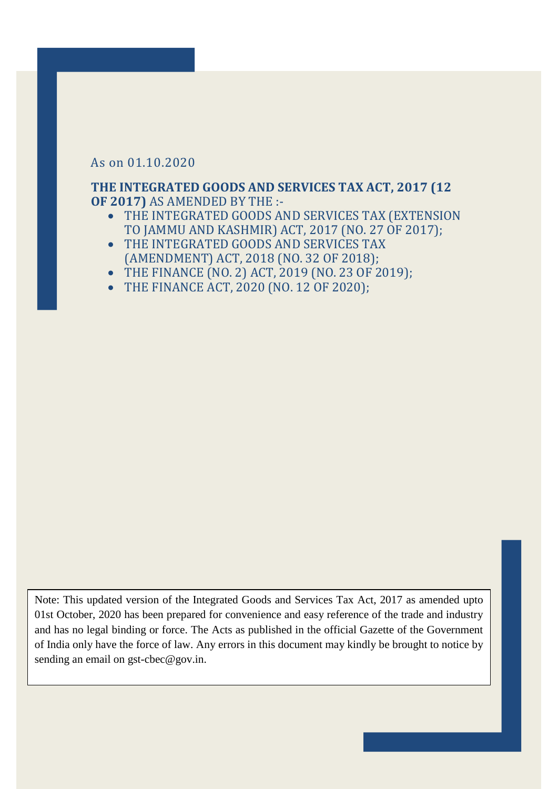## As on 01.10.2020

## **THE INTEGRATED GOODS AND SERVICES TAX ACT, 2017 (12 OF 2017)** AS AMENDED BY THE :-

- THE INTEGRATED GOODS AND SERVICES TAX (EXTENSION TO JAMMU AND KASHMIR) ACT, 2017 (NO. 27 OF 2017);
- THE INTEGRATED GOODS AND SERVICES TAX (AMENDMENT) ACT, 2018 (NO. 32 OF 2018);
- THE FINANCE (NO. 2) ACT, 2019 (NO. 23 OF 2019);
- THE FINANCE ACT, 2020 (NO. 12 OF 2020);

Note: This updated version of the Integrated Goods and Services Tax Act, 2017 as amended upto 01st October, 2020 has been prepared for convenience and easy reference of the trade and industry and has no legal binding or force. The Acts as published in the official Gazette of the Government of India only have the force of law. Any errors in this document may kindly be brought to notice by sending an email on gst-cbec@gov.in.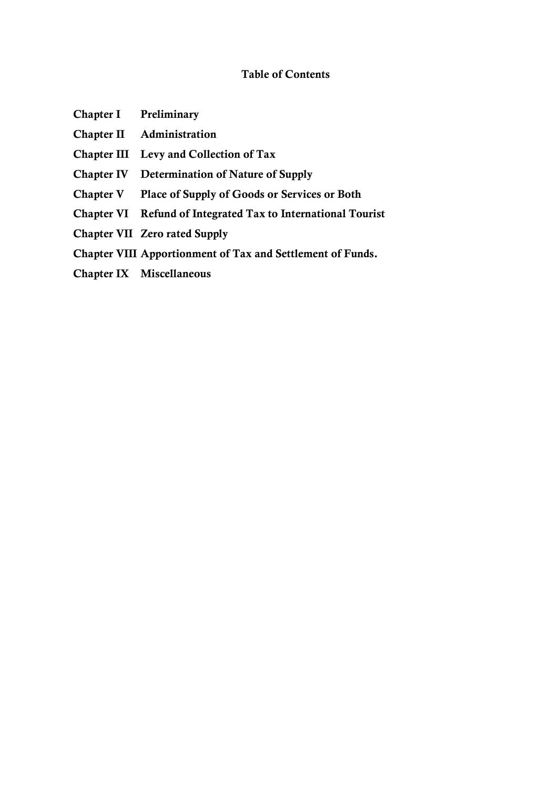## **Table of Contents**

- **Chapter I Preliminary**
- **Chapter II Administration**
- **Chapter III Levy and Collection of Tax**
- **Chapter IV Determination of Nature of Supply**
- **Chapter V Place of Supply of Goods or Services or Both**
- **Chapter VI Refund of Integrated Tax to International Tourist**
- **Chapter VII Zero rated Supply**
- **Chapter VIII Apportionment of Tax and Settlement of Funds.**
- **Chapter IX Miscellaneous**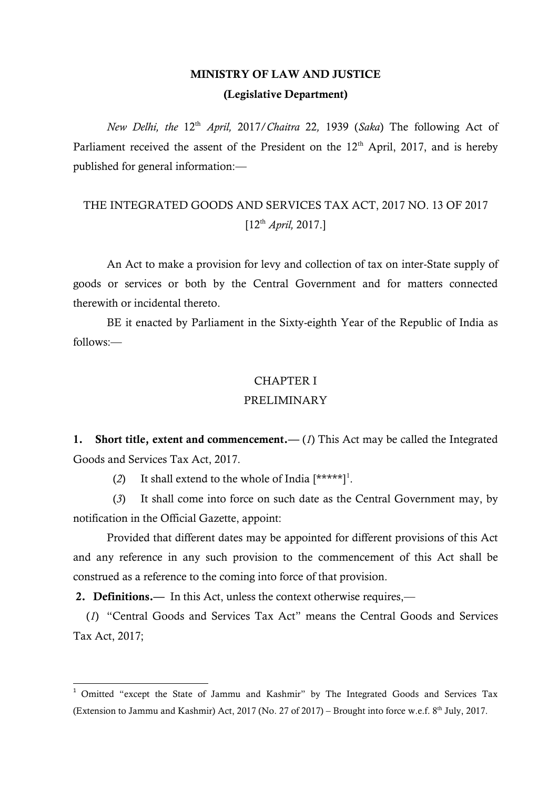# **MINISTRY OF LAW AND JUSTICE (Legislative Department)**

*New Delhi, the* 12th *April,* 2017/*Chaitra* 22*,* 1939 (*Saka*) The following Act of Parliament received the assent of the President on the  $12<sup>th</sup>$  April, 2017, and is hereby published for general information:—

# THE INTEGRATED GOODS AND SERVICES TAX ACT, 2017 NO. 13 OF 2017  $[12^{th}$  *April*, 2017.]

An Act to make a provision for levy and collection of tax on inter-State supply of goods or services or both by the Central Government and for matters connected therewith or incidental thereto.

BE it enacted by Parliament in the Sixty-eighth Year of the Republic of India as follows:—

## CHAPTER I

## PRELIMINARY

**1. Short title, extent and commencement.—** (*1*) This Act may be called the Integrated Goods and Services Tax Act, 2017.

(2) It shall extend to the whole of India  $[****]$ <sup>1</sup>.

(*3*) It shall come into force on such date as the Central Government may, by notification in the Official Gazette, appoint:

Provided that different dates may be appointed for different provisions of this Act and any reference in any such provision to the commencement of this Act shall be construed as a reference to the coming into force of that provision.

**2. Definitions.—** In this Act, unless the context otherwise requires,––

1

(1) "Central Goods and Services Tax Act" means the Central Goods and Services Tax Act, 2017;

<sup>&</sup>lt;sup>1</sup> Omitted "except the State of Jammu and Kashmir" by The Integrated Goods and Services Tax (Extension to Jammu and Kashmir) Act, 2017 (No. 27 of 2017) – Brought into force w.e.f.  $8<sup>th</sup>$  July, 2017.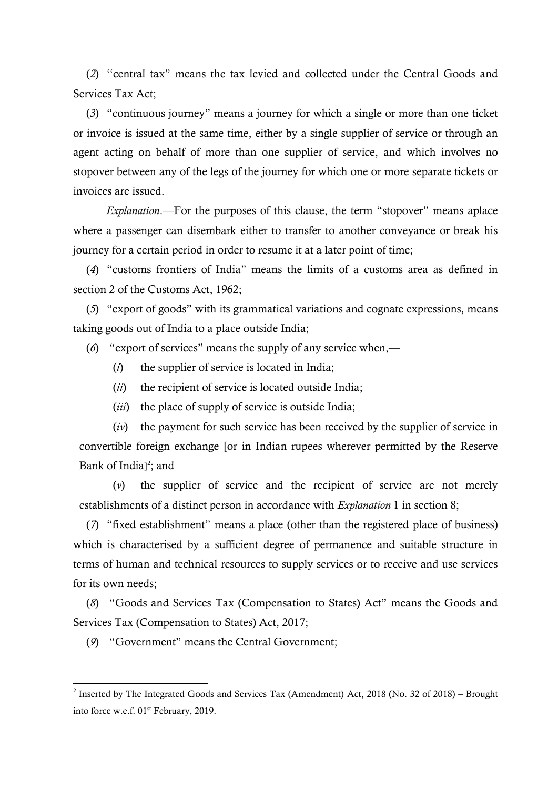(2) "central tax" means the tax levied and collected under the Central Goods and Services Tax Act;

(3) "continuous journey" means a journey for which a single or more than one ticket or invoice is issued at the same time, either by a single supplier of service or through an agent acting on behalf of more than one supplier of service, and which involves no stopover between any of the legs of the journey for which one or more separate tickets or invoices are issued.

*Explanation*.—For the purposes of this clause, the term "stopover" means aplace where a passenger can disembark either to transfer to another conveyance or break his journey for a certain period in order to resume it at a later point of time;

(4) "customs frontiers of India" means the limits of a customs area as defined in section 2 of the Customs Act, 1962;

(5) "export of goods" with its grammatical variations and cognate expressions, means taking goods out of India to a place outside India;

(6) "export of services" means the supply of any service when,—

- (*i*) the supplier of service is located in India;
- (*ii*) the recipient of service is located outside India;
- (*iii*) the place of supply of service is outside India;

(*iv*) the payment for such service has been received by the supplier of service in convertible foreign exchange [or in Indian rupees wherever permitted by the Reserve Bank of India<sub>12</sub>; and

(*v*) the supplier of service and the recipient of service are not merely establishments of a distinct person in accordance with *Explanation* 1 in section 8;

(7) "fixed establishment" means a place (other than the registered place of business) which is characterised by a sufficient degree of permanence and suitable structure in terms of human and technical resources to supply services or to receive and use services for its own needs;

(8) "Goods and Services Tax (Compensation to States) Act" means the Goods and Services Tax (Compensation to States) Act, 2017;

(9) "Government" means the Central Government;

1

<sup>&</sup>lt;sup>2</sup> Inserted by The Integrated Goods and Services Tax (Amendment) Act, 2018 (No. 32 of 2018) – Brought into force w.e.f. 01<sup>st</sup> February, 2019.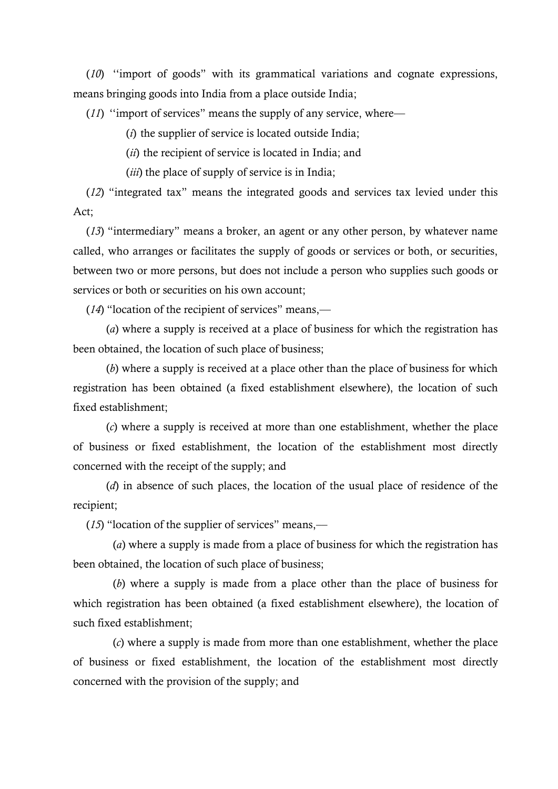(*10*) "import of goods" with its grammatical variations and cognate expressions, means bringing goods into India from a place outside India;

 $(11)$  "import of services" means the supply of any service, where—

(*i*) the supplier of service is located outside India;

(*ii*) the recipient of service is located in India; and

(*iii*) the place of supply of service is in India;

(12) "integrated tax" means the integrated goods and services tax levied under this Act;

(13) "intermediary" means a broker, an agent or any other person, by whatever name called, who arranges or facilitates the supply of goods or services or both, or securities, between two or more persons, but does not include a person who supplies such goods or services or both or securities on his own account;

 $(14)$  "location of the recipient of services" means,—

(*a*) where a supply is received at a place of business for which the registration has been obtained, the location of such place of business;

(*b*) where a supply is received at a place other than the place of business for which registration has been obtained (a fixed establishment elsewhere), the location of such fixed establishment;

(*c*) where a supply is received at more than one establishment, whether the place of business or fixed establishment, the location of the establishment most directly concerned with the receipt of the supply; and

(*d*) in absence of such places, the location of the usual place of residence of the recipient;

 $(15)$  "location of the supplier of services" means,—

(*a*) where a supply is made from a place of business for which the registration has been obtained, the location of such place of business;

(*b*) where a supply is made from a place other than the place of business for which registration has been obtained (a fixed establishment elsewhere), the location of such fixed establishment;

(*c*) where a supply is made from more than one establishment, whether the place of business or fixed establishment, the location of the establishment most directly concerned with the provision of the supply; and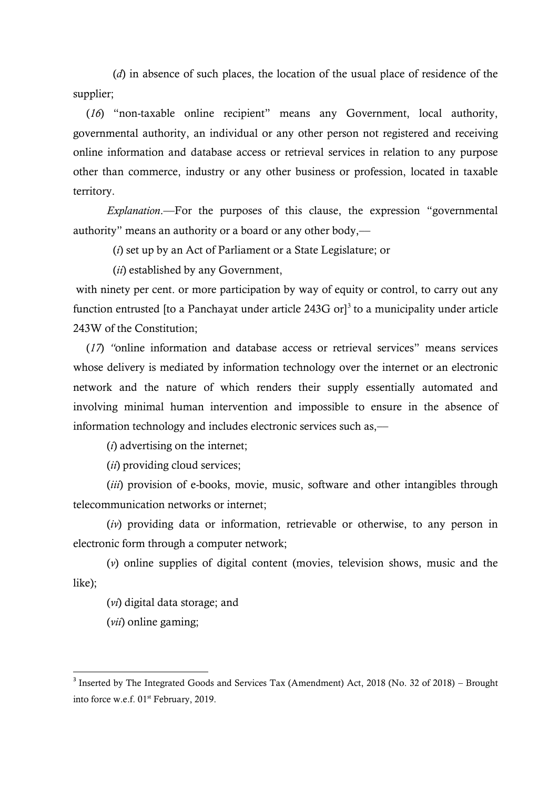(*d*) in absence of such places, the location of the usual place of residence of the supplier;

(16) "non-taxable online recipient" means any Government, local authority, governmental authority, an individual or any other person not registered and receiving online information and database access or retrieval services in relation to any purpose other than commerce, industry or any other business or profession, located in taxable territory.

*Explanation*.—For the purposes of this clause, the expression "governmental authority" means an authority or a board or any other body,—

(*i*) set up by an Act of Parliament or a State Legislature; or

(*ii*) established by any Government,

with ninety per cent. or more participation by way of equity or control, to carry out any function entrusted [to a Panchayat under article  $243G$  or]<sup>3</sup> to a municipality under article 243W of the Constitution;

(17) "online information and database access or retrieval services" means services whose delivery is mediated by information technology over the internet or an electronic network and the nature of which renders their supply essentially automated and involving minimal human intervention and impossible to ensure in the absence of information technology and includes electronic services such as,—

(*i*) advertising on the internet;

(*ii*) providing cloud services;

(*iii*) provision of e-books, movie, music, software and other intangibles through telecommunication networks or internet;

(*iv*) providing data or information, retrievable or otherwise, to any person in electronic form through a computer network;

(*v*) online supplies of digital content (movies, television shows, music and the like);

(*vi*) digital data storage; and

(*vii*) online gaming;

**.** 

<sup>&</sup>lt;sup>3</sup> Inserted by The Integrated Goods and Services Tax (Amendment) Act, 2018 (No. 32 of 2018) – Brought into force w.e.f. 01<sup>st</sup> February, 2019.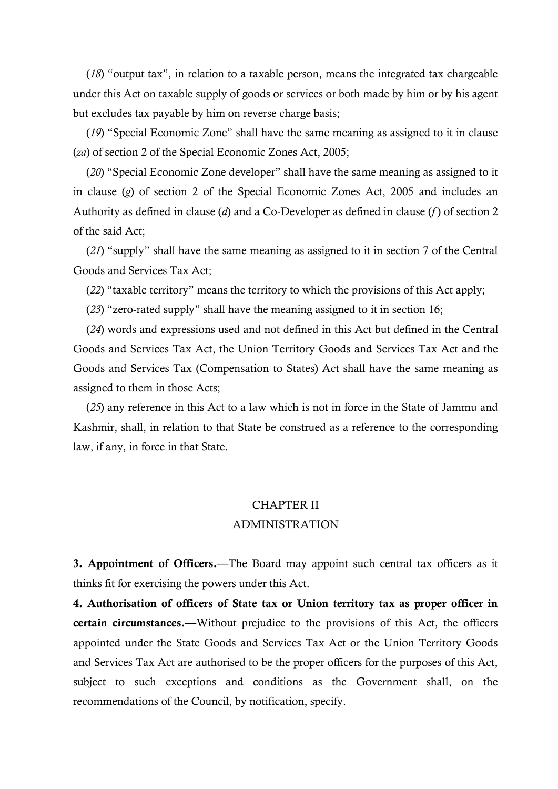$(18)$  "output tax", in relation to a taxable person, means the integrated tax chargeable under this Act on taxable supply of goods or services or both made by him or by his agent but excludes tax payable by him on reverse charge basis;

(19) "Special Economic Zone" shall have the same meaning as assigned to it in clause (*za*) of section 2 of the Special Economic Zones Act, 2005;

(20) "Special Economic Zone developer" shall have the same meaning as assigned to it in clause (*g*) of section 2 of the Special Economic Zones Act, 2005 and includes an Authority as defined in clause (*d*) and a Co-Developer as defined in clause (*f* ) of section 2 of the said Act;

(21) "supply" shall have the same meaning as assigned to it in section 7 of the Central Goods and Services Tax Act;

(22) "taxable territory" means the territory to which the provisions of this Act apply;

 $(23)$  "zero-rated supply" shall have the meaning assigned to it in section 16;

(*24*) words and expressions used and not defined in this Act but defined in the Central Goods and Services Tax Act, the Union Territory Goods and Services Tax Act and the Goods and Services Tax (Compensation to States) Act shall have the same meaning as assigned to them in those Acts;

(*25*) any reference in this Act to a law which is not in force in the State of Jammu and Kashmir, shall, in relation to that State be construed as a reference to the corresponding law, if any, in force in that State.

# CHAPTER II ADMINISTRATION

**3. Appointment of Officers.—**The Board may appoint such central tax officers as it thinks fit for exercising the powers under this Act.

**4. Authorisation of officers of State tax or Union territory tax as proper officer in certain circumstances.—**Without prejudice to the provisions of this Act, the officers appointed under the State Goods and Services Tax Act or the Union Territory Goods and Services Tax Act are authorised to be the proper officers for the purposes of this Act, subject to such exceptions and conditions as the Government shall, on the recommendations of the Council, by notification, specify.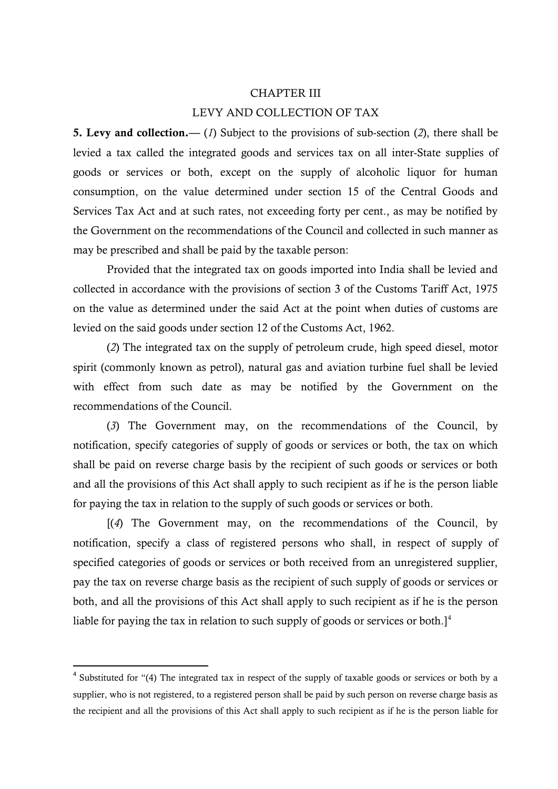#### CHAPTER III

## LEVY AND COLLECTION OF TAX

**5. Levy and collection.—** (*1*) Subject to the provisions of sub-section (*2*), there shall be levied a tax called the integrated goods and services tax on all inter-State supplies of goods or services or both, except on the supply of alcoholic liquor for human consumption, on the value determined under section 15 of the Central Goods and Services Tax Act and at such rates, not exceeding forty per cent., as may be notified by the Government on the recommendations of the Council and collected in such manner as may be prescribed and shall be paid by the taxable person:

Provided that the integrated tax on goods imported into India shall be levied and collected in accordance with the provisions of section 3 of the Customs Tariff Act, 1975 on the value as determined under the said Act at the point when duties of customs are levied on the said goods under section 12 of the Customs Act, 1962.

(*2*) The integrated tax on the supply of petroleum crude, high speed diesel, motor spirit (commonly known as petrol), natural gas and aviation turbine fuel shall be levied with effect from such date as may be notified by the Government on the recommendations of the Council.

(*3*) The Government may, on the recommendations of the Council, by notification, specify categories of supply of goods or services or both, the tax on which shall be paid on reverse charge basis by the recipient of such goods or services or both and all the provisions of this Act shall apply to such recipient as if he is the person liable for paying the tax in relation to the supply of such goods or services or both.

[(*4*) The Government may, on the recommendations of the Council, by notification, specify a class of registered persons who shall, in respect of supply of specified categories of goods or services or both received from an unregistered supplier, pay the tax on reverse charge basis as the recipient of such supply of goods or services or both, and all the provisions of this Act shall apply to such recipient as if he is the person liable for paying the tax in relation to such supply of goods or services or both. $]^{4}$ 

**.** 

 $4$  Substituted for "(4) The integrated tax in respect of the supply of taxable goods or services or both by a supplier, who is not registered, to a registered person shall be paid by such person on reverse charge basis as the recipient and all the provisions of this Act shall apply to such recipient as if he is the person liable for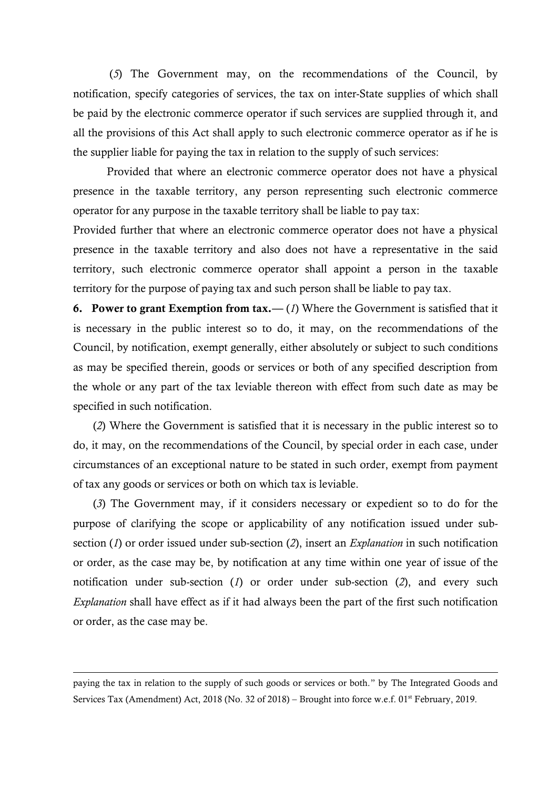(*5*) The Government may, on the recommendations of the Council, by notification, specify categories of services, the tax on inter-State supplies of which shall be paid by the electronic commerce operator if such services are supplied through it, and all the provisions of this Act shall apply to such electronic commerce operator as if he is the supplier liable for paying the tax in relation to the supply of such services:

Provided that where an electronic commerce operator does not have a physical presence in the taxable territory, any person representing such electronic commerce operator for any purpose in the taxable territory shall be liable to pay tax:

Provided further that where an electronic commerce operator does not have a physical presence in the taxable territory and also does not have a representative in the said territory, such electronic commerce operator shall appoint a person in the taxable territory for the purpose of paying tax and such person shall be liable to pay tax.

**6. Power to grant Exemption from tax.—** (*1*) Where the Government is satisfied that it is necessary in the public interest so to do, it may, on the recommendations of the Council, by notification, exempt generally, either absolutely or subject to such conditions as may be specified therein, goods or services or both of any specified description from the whole or any part of the tax leviable thereon with effect from such date as may be specified in such notification.

(*2*) Where the Government is satisfied that it is necessary in the public interest so to do, it may, on the recommendations of the Council, by special order in each case, under circumstances of an exceptional nature to be stated in such order, exempt from payment of tax any goods or services or both on which tax is leviable.

(*3*) The Government may, if it considers necessary or expedient so to do for the purpose of clarifying the scope or applicability of any notification issued under subsection (*1*) or order issued under sub-section (*2*), insert an *Explanation* in such notification or order, as the case may be, by notification at any time within one year of issue of the notification under sub-section (*1*) or order under sub-section (*2*), and every such *Explanation* shall have effect as if it had always been the part of the first such notification or order, as the case may be.

paying the tax in relation to the supply of such goods or services or both." by The Integrated Goods and Services Tax (Amendment) Act, 2018 (No. 32 of 2018) – Brought into force w.e.f. 01<sup>st</sup> February, 2019.

 $\overline{a}$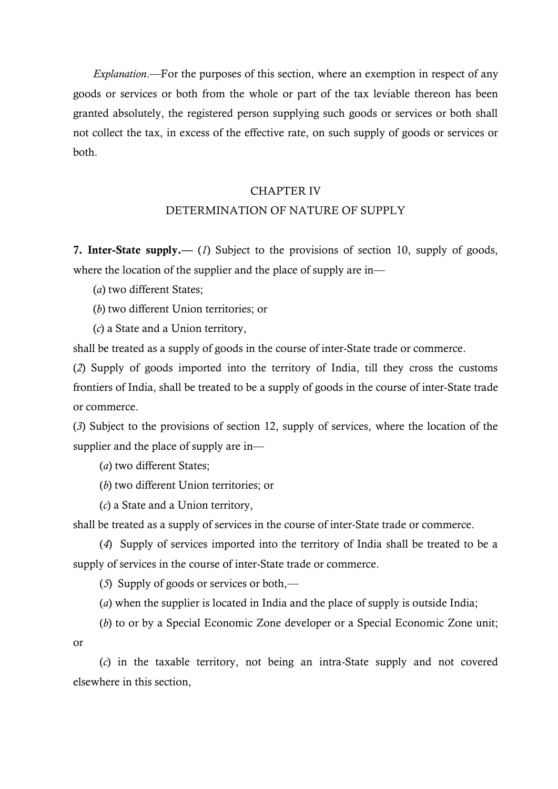*Explanation*.—For the purposes of this section, where an exemption in respect of any goods or services or both from the whole or part of the tax leviable thereon has been granted absolutely, the registered person supplying such goods or services or both shall not collect the tax, in excess of the effective rate, on such supply of goods or services or both.

### CHAPTER IV

## DETERMINATION OF NATURE OF SUPPLY

**7. Inter-State supply.—** (*1*) Subject to the provisions of section 10, supply of goods, where the location of the supplier and the place of supply are in-

(*a*) two different States;

(*b*) two different Union territories; or

(*c*) a State and a Union territory,

shall be treated as a supply of goods in the course of inter-State trade or commerce.

(*2*) Supply of goods imported into the territory of India, till they cross the customs frontiers of India, shall be treated to be a supply of goods in the course of inter-State trade or commerce.

(*3*) Subject to the provisions of section 12, supply of services, where the location of the supplier and the place of supply are in-

(*a*) two different States;

(*b*) two different Union territories; or

(*c*) a State and a Union territory,

shall be treated as a supply of services in the course of inter-State trade or commerce.

(*4*) Supply of services imported into the territory of India shall be treated to be a supply of services in the course of inter-State trade or commerce.

(*5*) Supply of goods or services or both,––

(*a*) when the supplier is located in India and the place of supply is outside India;

(*b*) to or by a Special Economic Zone developer or a Special Economic Zone unit; or

(*c*) in the taxable territory, not being an intra-State supply and not covered elsewhere in this section,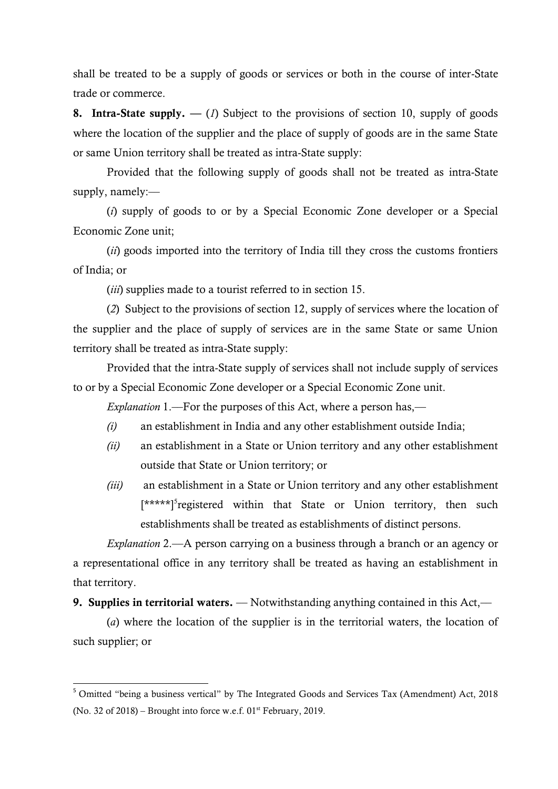shall be treated to be a supply of goods or services or both in the course of inter-State trade or commerce.

**8. Intra-State supply. —** (*1*) Subject to the provisions of section 10, supply of goods where the location of the supplier and the place of supply of goods are in the same State or same Union territory shall be treated as intra-State supply:

Provided that the following supply of goods shall not be treated as intra-State supply, namely:—

(*i*) supply of goods to or by a Special Economic Zone developer or a Special Economic Zone unit;

(*ii*) goods imported into the territory of India till they cross the customs frontiers of India; or

(*iii*) supplies made to a tourist referred to in section 15.

(*2*) Subject to the provisions of section 12, supply of services where the location of the supplier and the place of supply of services are in the same State or same Union territory shall be treated as intra-State supply:

Provided that the intra-State supply of services shall not include supply of services to or by a Special Economic Zone developer or a Special Economic Zone unit.

*Explanation* 1.—For the purposes of this Act, where a person has,—

- *(i)* an establishment in India and any other establishment outside India;
- *(ii)* an establishment in a State or Union territory and any other establishment outside that State or Union territory; or
- *(iii)* an establishment in a State or Union territory and any other establishment [\*\*\*\*\*]<sup>5</sup>registered within that State or Union territory, then such establishments shall be treated as establishments of distinct persons.

*Explanation* 2.––A person carrying on a business through a branch or an agency or a representational office in any territory shall be treated as having an establishment in that territory.

**9. Supplies in territorial waters.** — Notwithstanding anything contained in this Act,—

(*a*) where the location of the supplier is in the territorial waters, the location of such supplier; or

1

<sup>&</sup>lt;sup>5</sup> Omitted "being a business vertical" by The Integrated Goods and Services Tax (Amendment) Act, 2018 (No. 32 of 2018) – Brought into force w.e.f.  $01<sup>st</sup>$  February, 2019.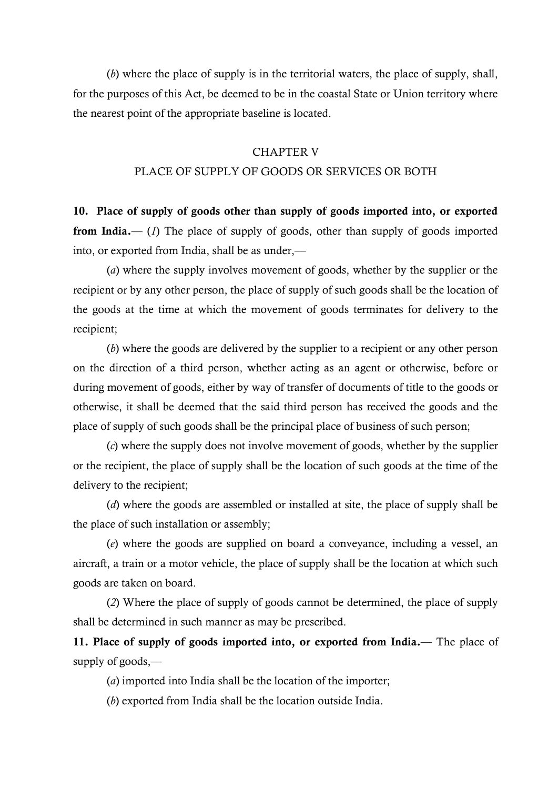(*b*) where the place of supply is in the territorial waters, the place of supply, shall, for the purposes of this Act, be deemed to be in the coastal State or Union territory where the nearest point of the appropriate baseline is located.

#### CHAPTER V

### PLACE OF SUPPLY OF GOODS OR SERVICES OR BOTH

**10. Place of supply of goods other than supply of goods imported into, or exported**  from India.—– (*1*) The place of supply of goods, other than supply of goods imported into, or exported from India, shall be as under,—

(*a*) where the supply involves movement of goods, whether by the supplier or the recipient or by any other person, the place of supply of such goods shall be the location of the goods at the time at which the movement of goods terminates for delivery to the recipient;

(*b*) where the goods are delivered by the supplier to a recipient or any other person on the direction of a third person, whether acting as an agent or otherwise, before or during movement of goods, either by way of transfer of documents of title to the goods or otherwise, it shall be deemed that the said third person has received the goods and the place of supply of such goods shall be the principal place of business of such person;

(*c*) where the supply does not involve movement of goods, whether by the supplier or the recipient, the place of supply shall be the location of such goods at the time of the delivery to the recipient;

(*d*) where the goods are assembled or installed at site, the place of supply shall be the place of such installation or assembly;

(*e*) where the goods are supplied on board a conveyance, including a vessel, an aircraft, a train or a motor vehicle, the place of supply shall be the location at which such goods are taken on board.

(*2*) Where the place of supply of goods cannot be determined, the place of supply shall be determined in such manner as may be prescribed.

**11. Place of supply of goods imported into, or exported from India.**–– The place of supply of goods,—

(*a*) imported into India shall be the location of the importer;

(*b*) exported from India shall be the location outside India.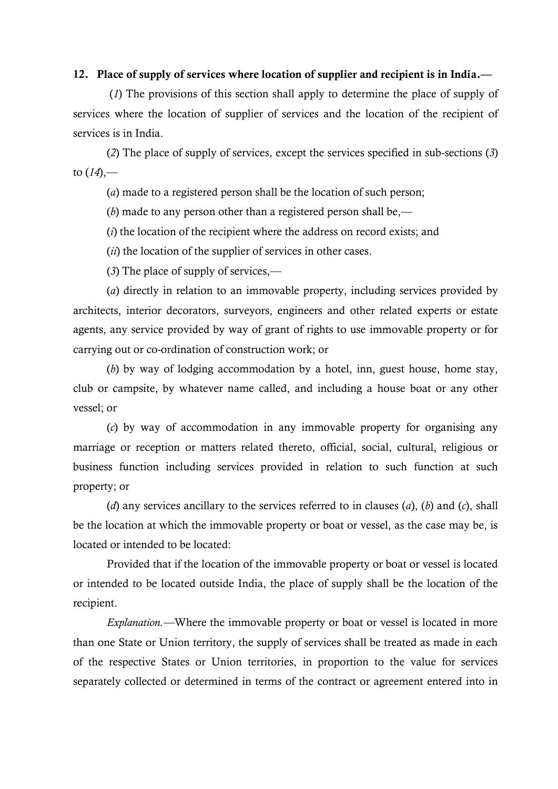### **12. Place of supply of services where location of supplier and recipient is in India.––**

(*1*) The provisions of this section shall apply to determine the place of supply of services where the location of supplier of services and the location of the recipient of services is in India.

(*2*) The place of supply of services, except the services specified in sub-sections (*3*) to (*14*),––

(*a*) made to a registered person shall be the location of such person;

(*b*) made to any person other than a registered person shall be,––

(*i*) the location of the recipient where the address on record exists; and

(*ii*) the location of the supplier of services in other cases.

(*3*) The place of supply of services,––

(*a*) directly in relation to an immovable property, including services provided by architects, interior decorators, surveyors, engineers and other related experts or estate agents, any service provided by way of grant of rights to use immovable property or for carrying out or co-ordination of construction work; or

(*b*) by way of lodging accommodation by a hotel, inn, guest house, home stay, club or campsite, by whatever name called, and including a house boat or any other vessel; or

(*c*) by way of accommodation in any immovable property for organising any marriage or reception or matters related thereto, official, social, cultural, religious or business function including services provided in relation to such function at such property; or

(*d*) any services ancillary to the services referred to in clauses (*a*), (*b*) and (*c*), shall be the location at which the immovable property or boat or vessel, as the case may be, is located or intended to be located:

Provided that if the location of the immovable property or boat or vessel is located or intended to be located outside India, the place of supply shall be the location of the recipient.

*Explanation.––*Where the immovable property or boat or vessel is located in more than one State or Union territory, the supply of services shall be treated as made in each of the respective States or Union territories, in proportion to the value for services separately collected or determined in terms of the contract or agreement entered into in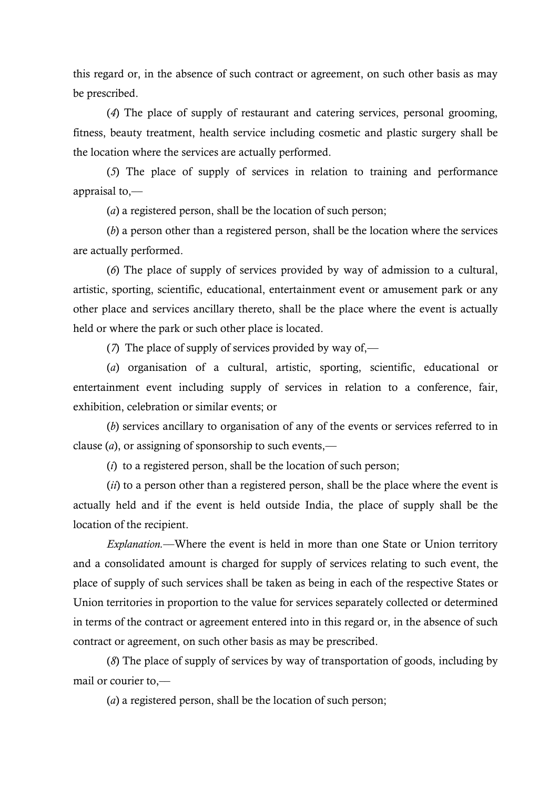this regard or, in the absence of such contract or agreement, on such other basis as may be prescribed.

(*4*) The place of supply of restaurant and catering services, personal grooming, fitness, beauty treatment, health service including cosmetic and plastic surgery shall be the location where the services are actually performed.

(*5*) The place of supply of services in relation to training and performance appraisal to,––

(*a*) a registered person, shall be the location of such person;

(*b*) a person other than a registered person, shall be the location where the services are actually performed.

(*6*) The place of supply of services provided by way of admission to a cultural, artistic, sporting, scientific, educational, entertainment event or amusement park or any other place and services ancillary thereto, shall be the place where the event is actually held or where the park or such other place is located.

(*7*) The place of supply of services provided by way of,—

(*a*) organisation of a cultural, artistic, sporting, scientific, educational or entertainment event including supply of services in relation to a conference, fair, exhibition, celebration or similar events; or

(*b*) services ancillary to organisation of any of the events or services referred to in clause  $(a)$ , or assigning of sponsorship to such events,—

(*i*) to a registered person, shall be the location of such person;

(*ii*) to a person other than a registered person, shall be the place where the event is actually held and if the event is held outside India, the place of supply shall be the location of the recipient.

*Explanation.*––Where the event is held in more than one State or Union territory and a consolidated amount is charged for supply of services relating to such event, the place of supply of such services shall be taken as being in each of the respective States or Union territories in proportion to the value for services separately collected or determined in terms of the contract or agreement entered into in this regard or, in the absence of such contract or agreement, on such other basis as may be prescribed.

(*8*) The place of supply of services by way of transportation of goods, including by mail or courier to.—

(*a*) a registered person, shall be the location of such person;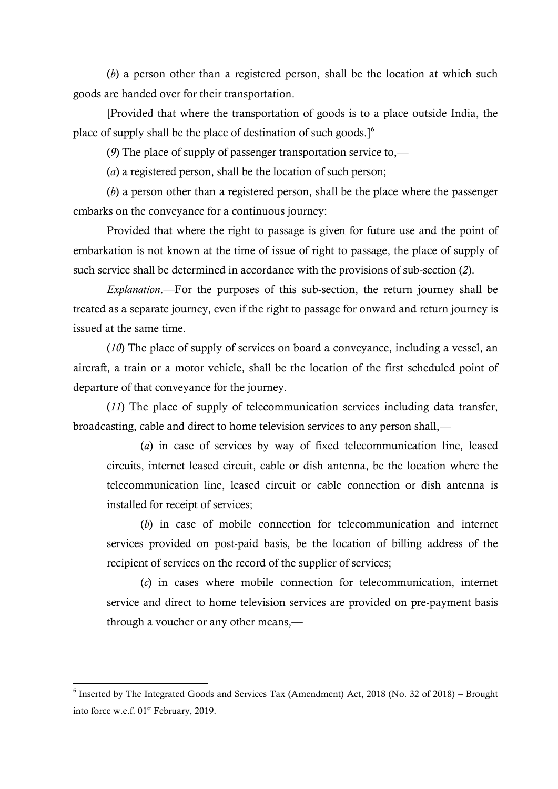(*b*) a person other than a registered person, shall be the location at which such goods are handed over for their transportation.

[Provided that where the transportation of goods is to a place outside India, the place of supply shall be the place of destination of such goods.]<sup>6</sup>

(*9*) The place of supply of passenger transportation service to,—

(*a*) a registered person, shall be the location of such person;

(*b*) a person other than a registered person, shall be the place where the passenger embarks on the conveyance for a continuous journey:

Provided that where the right to passage is given for future use and the point of embarkation is not known at the time of issue of right to passage, the place of supply of such service shall be determined in accordance with the provisions of sub-section (*2*).

*Explanation*.—For the purposes of this sub-section, the return journey shall be treated as a separate journey, even if the right to passage for onward and return journey is issued at the same time.

(*10*) The place of supply of services on board a conveyance, including a vessel, an aircraft, a train or a motor vehicle, shall be the location of the first scheduled point of departure of that conveyance for the journey.

(*11*) The place of supply of telecommunication services including data transfer, broadcasting, cable and direct to home television services to any person shall,—

(*a*) in case of services by way of fixed telecommunication line, leased circuits, internet leased circuit, cable or dish antenna, be the location where the telecommunication line, leased circuit or cable connection or dish antenna is installed for receipt of services;

(*b*) in case of mobile connection for telecommunication and internet services provided on post-paid basis, be the location of billing address of the recipient of services on the record of the supplier of services;

(*c*) in cases where mobile connection for telecommunication, internet service and direct to home television services are provided on pre-payment basis through a voucher or any other means,—

1

<sup>&</sup>lt;sup>6</sup> Inserted by The Integrated Goods and Services Tax (Amendment) Act, 2018 (No. 32 of 2018) – Brought into force w.e.f. 01<sup>st</sup> February, 2019.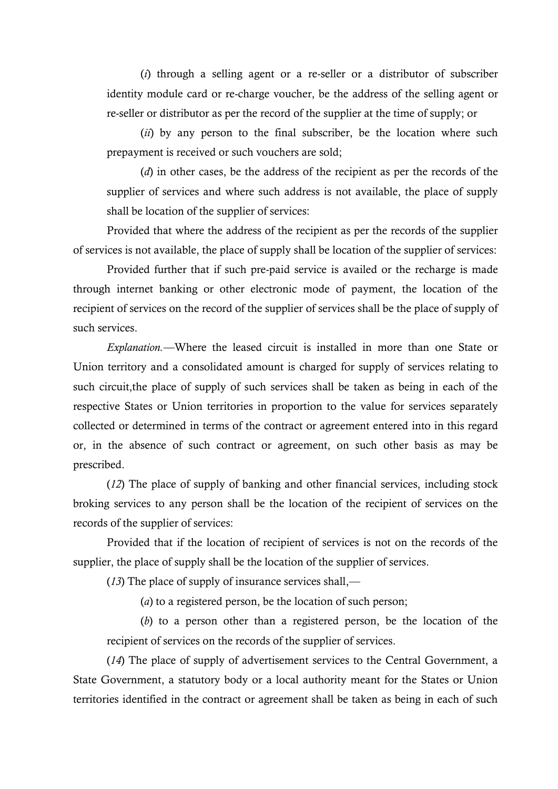(*i*) through a selling agent or a re-seller or a distributor of subscriber identity module card or re-charge voucher, be the address of the selling agent or re-seller or distributor as per the record of the supplier at the time of supply; or

(*ii*) by any person to the final subscriber, be the location where such prepayment is received or such vouchers are sold;

(*d*) in other cases, be the address of the recipient as per the records of the supplier of services and where such address is not available, the place of supply shall be location of the supplier of services:

Provided that where the address of the recipient as per the records of the supplier of services is not available, the place of supply shall be location of the supplier of services:

Provided further that if such pre-paid service is availed or the recharge is made through internet banking or other electronic mode of payment, the location of the recipient of services on the record of the supplier of services shall be the place of supply of such services.

*Explanation.––*Where the leased circuit is installed in more than one State or Union territory and a consolidated amount is charged for supply of services relating to such circuit,the place of supply of such services shall be taken as being in each of the respective States or Union territories in proportion to the value for services separately collected or determined in terms of the contract or agreement entered into in this regard or, in the absence of such contract or agreement, on such other basis as may be prescribed.

(*12*) The place of supply of banking and other financial services, including stock broking services to any person shall be the location of the recipient of services on the records of the supplier of services:

Provided that if the location of recipient of services is not on the records of the supplier, the place of supply shall be the location of the supplier of services.

(*13*) The place of supply of insurance services shall,––

(*a*) to a registered person, be the location of such person;

(*b*) to a person other than a registered person, be the location of the recipient of services on the records of the supplier of services.

(*14*) The place of supply of advertisement services to the Central Government, a State Government, a statutory body or a local authority meant for the States or Union territories identified in the contract or agreement shall be taken as being in each of such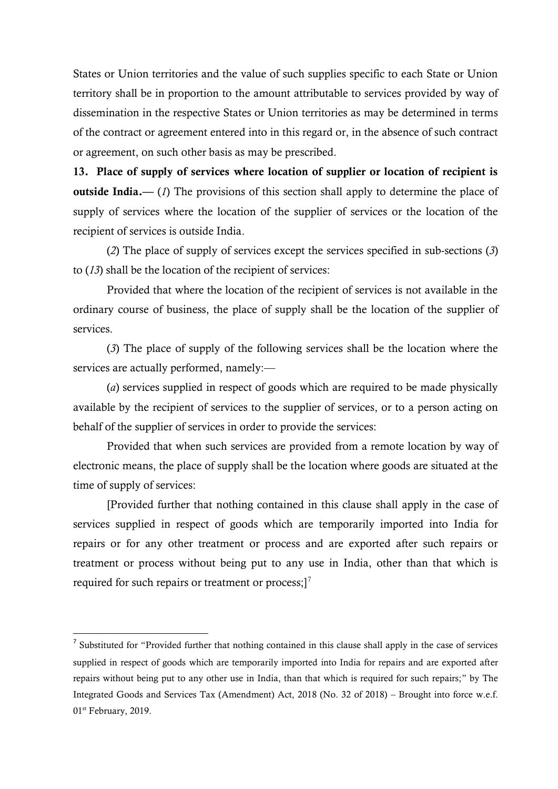States or Union territories and the value of such supplies specific to each State or Union territory shall be in proportion to the amount attributable to services provided by way of dissemination in the respective States or Union territories as may be determined in terms of the contract or agreement entered into in this regard or, in the absence of such contract or agreement, on such other basis as may be prescribed.

**13. Place of supply of services where location of supplier or location of recipient is outside India.**—— (*1*) The provisions of this section shall apply to determine the place of supply of services where the location of the supplier of services or the location of the recipient of services is outside India.

(*2*) The place of supply of services except the services specified in sub-sections (*3*) to (*13*) shall be the location of the recipient of services:

Provided that where the location of the recipient of services is not available in the ordinary course of business, the place of supply shall be the location of the supplier of services.

(*3*) The place of supply of the following services shall be the location where the services are actually performed, namely:—

(*a*) services supplied in respect of goods which are required to be made physically available by the recipient of services to the supplier of services, or to a person acting on behalf of the supplier of services in order to provide the services:

Provided that when such services are provided from a remote location by way of electronic means, the place of supply shall be the location where goods are situated at the time of supply of services:

[Provided further that nothing contained in this clause shall apply in the case of services supplied in respect of goods which are temporarily imported into India for repairs or for any other treatment or process and are exported after such repairs or treatment or process without being put to any use in India, other than that which is required for such repairs or treatment or process; $]^{7}$ 

 $\overline{a}$ 

 $<sup>7</sup>$  Substituted for "Provided further that nothing contained in this clause shall apply in the case of services</sup> supplied in respect of goods which are temporarily imported into India for repairs and are exported after repairs without being put to any other use in India, than that which is required for such repairs;" by The Integrated Goods and Services Tax (Amendment) Act, 2018 (No. 32 of 2018) – Brought into force w.e.f. 01st February, 2019.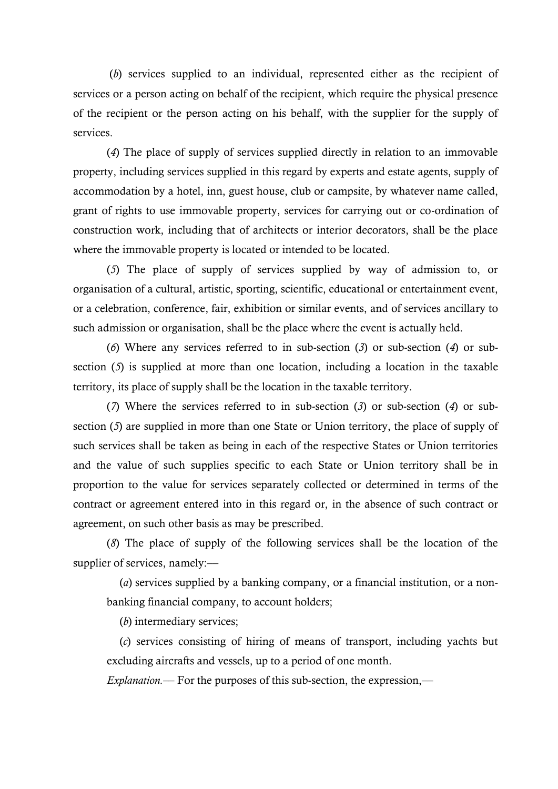(*b*) services supplied to an individual, represented either as the recipient of services or a person acting on behalf of the recipient, which require the physical presence of the recipient or the person acting on his behalf, with the supplier for the supply of services.

(*4*) The place of supply of services supplied directly in relation to an immovable property, including services supplied in this regard by experts and estate agents, supply of accommodation by a hotel, inn, guest house, club or campsite, by whatever name called, grant of rights to use immovable property, services for carrying out or co-ordination of construction work, including that of architects or interior decorators, shall be the place where the immovable property is located or intended to be located.

(*5*) The place of supply of services supplied by way of admission to, or organisation of a cultural, artistic, sporting, scientific, educational or entertainment event, or a celebration, conference, fair, exhibition or similar events, and of services ancillary to such admission or organisation, shall be the place where the event is actually held.

(*6*) Where any services referred to in sub-section (*3*) or sub-section (*4*) or subsection (*5*) is supplied at more than one location, including a location in the taxable territory, its place of supply shall be the location in the taxable territory.

(*7*) Where the services referred to in sub-section (*3*) or sub-section (*4*) or subsection (*5*) are supplied in more than one State or Union territory, the place of supply of such services shall be taken as being in each of the respective States or Union territories and the value of such supplies specific to each State or Union territory shall be in proportion to the value for services separately collected or determined in terms of the contract or agreement entered into in this regard or, in the absence of such contract or agreement, on such other basis as may be prescribed.

(*8*) The place of supply of the following services shall be the location of the supplier of services, namely:—

(*a*) services supplied by a banking company, or a financial institution, or a nonbanking financial company, to account holders;

(*b*) intermediary services;

(*c*) services consisting of hiring of means of transport, including yachts but excluding aircrafts and vessels, up to a period of one month.

*Explanation.*— For the purposes of this sub-section, the expression,—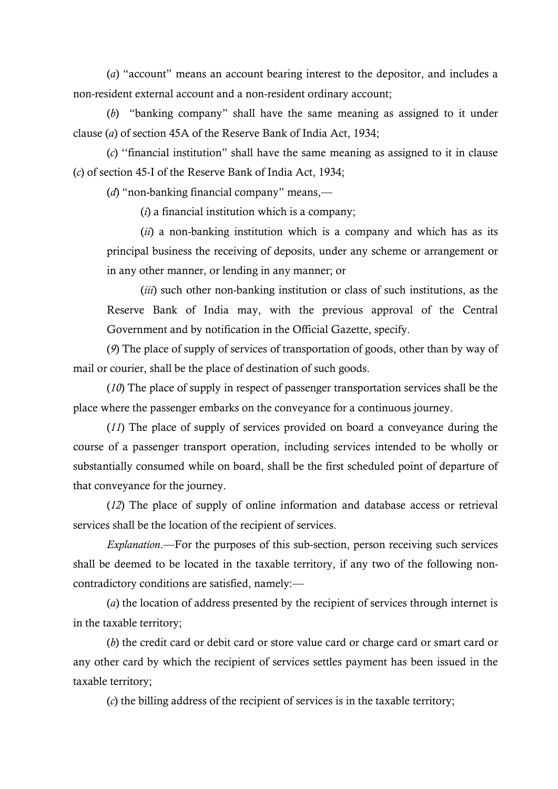(*a*) "account" means an account bearing interest to the depositor, and includes a non-resident external account and a non-resident ordinary account;

(b) "banking company" shall have the same meaning as assigned to it under clause (*a*) of section 45A of the Reserve Bank of India Act, 1934;

(*c*) "financial institution" shall have the same meaning as assigned to it in clause (*c*) of section 45-I of the Reserve Bank of India Act, 1934;

(*d*) "non-banking financial company" means,—

(*i*) a financial institution which is a company;

(*ii*) a non-banking institution which is a company and which has as its principal business the receiving of deposits, under any scheme or arrangement or in any other manner, or lending in any manner; or

(*iii*) such other non-banking institution or class of such institutions, as the Reserve Bank of India may, with the previous approval of the Central Government and by notification in the Official Gazette, specify.

(*9*) The place of supply of services of transportation of goods, other than by way of mail or courier, shall be the place of destination of such goods.

(*10*) The place of supply in respect of passenger transportation services shall be the place where the passenger embarks on the conveyance for a continuous journey.

(*11*) The place of supply of services provided on board a conveyance during the course of a passenger transport operation, including services intended to be wholly or substantially consumed while on board, shall be the first scheduled point of departure of that conveyance for the journey.

(*12*) The place of supply of online information and database access or retrieval services shall be the location of the recipient of services.

*Explanation*.––For the purposes of this sub-section, person receiving such services shall be deemed to be located in the taxable territory, if any two of the following noncontradictory conditions are satisfied, namely:––

(*a*) the location of address presented by the recipient of services through internet is in the taxable territory;

(*b*) the credit card or debit card or store value card or charge card or smart card or any other card by which the recipient of services settles payment has been issued in the taxable territory;

(*c*) the billing address of the recipient of services is in the taxable territory;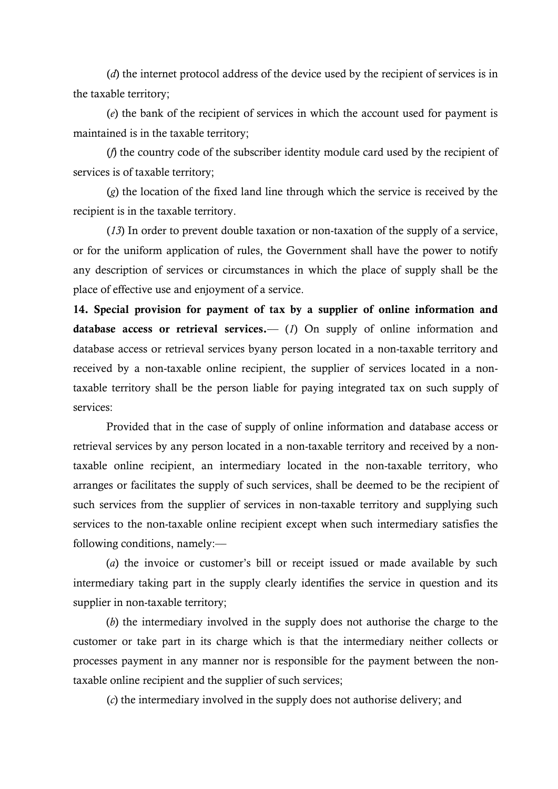(*d*) the internet protocol address of the device used by the recipient of services is in the taxable territory;

(*e*) the bank of the recipient of services in which the account used for payment is maintained is in the taxable territory;

(*f*) the country code of the subscriber identity module card used by the recipient of services is of taxable territory;

(*g*) the location of the fixed land line through which the service is received by the recipient is in the taxable territory.

(*13*) In order to prevent double taxation or non-taxation of the supply of a service, or for the uniform application of rules, the Government shall have the power to notify any description of services or circumstances in which the place of supply shall be the place of effective use and enjoyment of a service.

**14. Special provision for payment of tax by a supplier of online information and database access or retrieval services.**—– (*1*) On supply of online information and database access or retrieval services byany person located in a non-taxable territory and received by a non-taxable online recipient, the supplier of services located in a nontaxable territory shall be the person liable for paying integrated tax on such supply of services:

Provided that in the case of supply of online information and database access or retrieval services by any person located in a non-taxable territory and received by a nontaxable online recipient, an intermediary located in the non-taxable territory, who arranges or facilitates the supply of such services, shall be deemed to be the recipient of such services from the supplier of services in non-taxable territory and supplying such services to the non-taxable online recipient except when such intermediary satisfies the following conditions, namely:—

(*a*) the invoice or customer's bill or receipt issued or made available by such intermediary taking part in the supply clearly identifies the service in question and its supplier in non-taxable territory;

(*b*) the intermediary involved in the supply does not authorise the charge to the customer or take part in its charge which is that the intermediary neither collects or processes payment in any manner nor is responsible for the payment between the nontaxable online recipient and the supplier of such services;

(*c*) the intermediary involved in the supply does not authorise delivery; and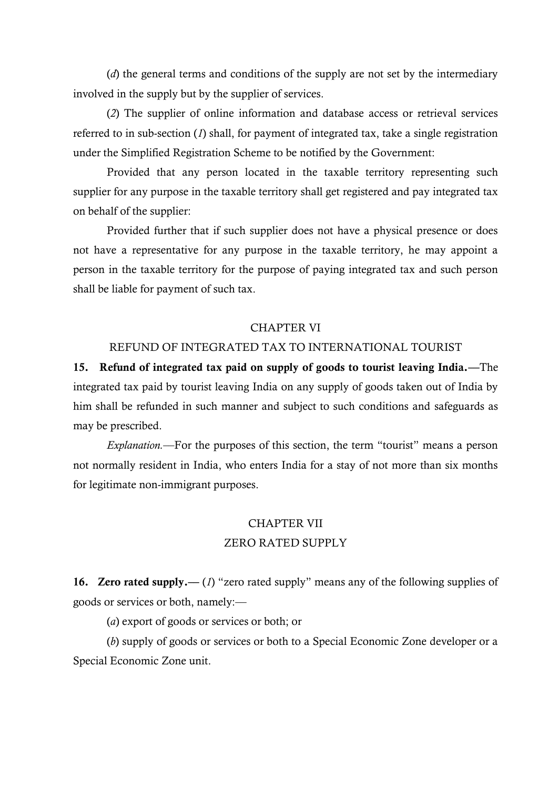(*d*) the general terms and conditions of the supply are not set by the intermediary involved in the supply but by the supplier of services.

(*2*) The supplier of online information and database access or retrieval services referred to in sub-section (*1*) shall, for payment of integrated tax, take a single registration under the Simplified Registration Scheme to be notified by the Government:

Provided that any person located in the taxable territory representing such supplier for any purpose in the taxable territory shall get registered and pay integrated tax on behalf of the supplier:

Provided further that if such supplier does not have a physical presence or does not have a representative for any purpose in the taxable territory, he may appoint a person in the taxable territory for the purpose of paying integrated tax and such person shall be liable for payment of such tax.

#### CHAPTER VI

## REFUND OF INTEGRATED TAX TO INTERNATIONAL TOURIST

**15. Refund of integrated tax paid on supply of goods to tourist leaving India.––**The integrated tax paid by tourist leaving India on any supply of goods taken out of India by him shall be refunded in such manner and subject to such conditions and safeguards as may be prescribed.

*Explanation.*—For the purposes of this section, the term "tourist" means a person not normally resident in India, who enters India for a stay of not more than six months for legitimate non-immigrant purposes.

## CHAPTER VII ZERO RATED SUPPLY

**16. Zero rated supply.**—— (*1*) "zero rated supply" means any of the following supplies of goods or services or both, namely:––

(*a*) export of goods or services or both; or

(*b*) supply of goods or services or both to a Special Economic Zone developer or a Special Economic Zone unit.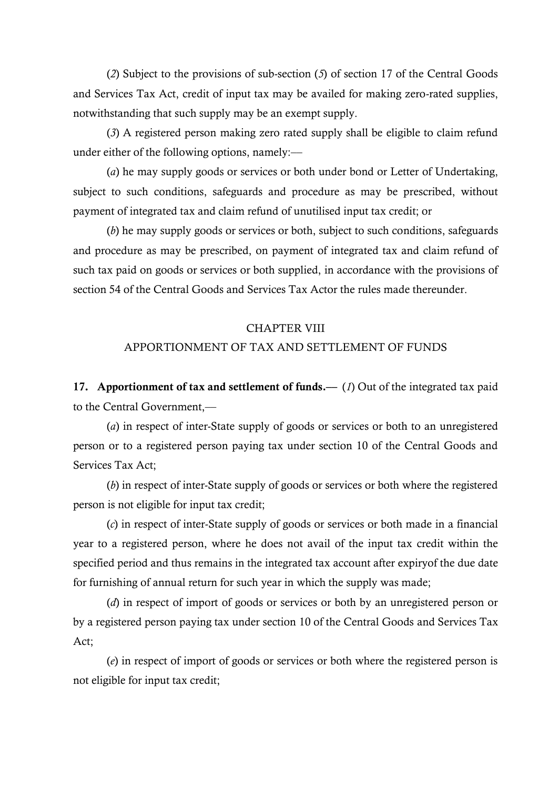(*2*) Subject to the provisions of sub-section (*5*) of section 17 of the Central Goods and Services Tax Act, credit of input tax may be availed for making zero-rated supplies, notwithstanding that such supply may be an exempt supply.

(*3*) A registered person making zero rated supply shall be eligible to claim refund under either of the following options, namely: $\leftarrow$ 

(*a*) he may supply goods or services or both under bond or Letter of Undertaking, subject to such conditions, safeguards and procedure as may be prescribed, without payment of integrated tax and claim refund of unutilised input tax credit; or

(*b*) he may supply goods or services or both, subject to such conditions, safeguards and procedure as may be prescribed, on payment of integrated tax and claim refund of such tax paid on goods or services or both supplied, in accordance with the provisions of section 54 of the Central Goods and Services Tax Actor the rules made thereunder.

#### CHAPTER VIII

## APPORTIONMENT OF TAX AND SETTLEMENT OF FUNDS

**17. Apportionment of tax and settlement of funds.— (***1***) Out of the integrated tax paid** to the Central Government.-

(*a*) in respect of inter-State supply of goods or services or both to an unregistered person or to a registered person paying tax under section 10 of the Central Goods and Services Tax Act;

(*b*) in respect of inter-State supply of goods or services or both where the registered person is not eligible for input tax credit;

(*c*) in respect of inter-State supply of goods or services or both made in a financial year to a registered person, where he does not avail of the input tax credit within the specified period and thus remains in the integrated tax account after expiryof the due date for furnishing of annual return for such year in which the supply was made;

(*d*) in respect of import of goods or services or both by an unregistered person or by a registered person paying tax under section 10 of the Central Goods and Services Tax Act;

(*e*) in respect of import of goods or services or both where the registered person is not eligible for input tax credit;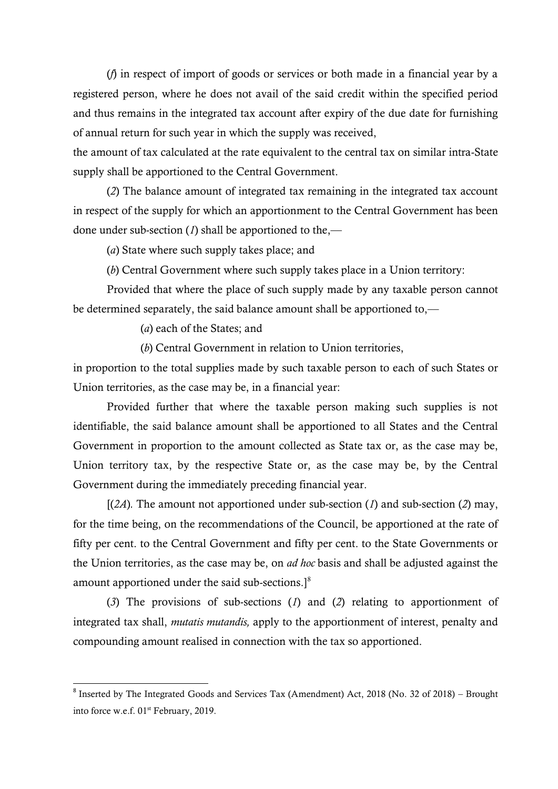(*f*) in respect of import of goods or services or both made in a financial year by a registered person, where he does not avail of the said credit within the specified period and thus remains in the integrated tax account after expiry of the due date for furnishing of annual return for such year in which the supply was received,

the amount of tax calculated at the rate equivalent to the central tax on similar intra-State supply shall be apportioned to the Central Government.

(*2*) The balance amount of integrated tax remaining in the integrated tax account in respect of the supply for which an apportionment to the Central Government has been done under sub-section (*1*) shall be apportioned to the,––

(*a*) State where such supply takes place; and

(*b*) Central Government where such supply takes place in a Union territory:

Provided that where the place of such supply made by any taxable person cannot be determined separately, the said balance amount shall be apportioned to,—

(*a*) each of the States; and

1

(*b*) Central Government in relation to Union territories,

in proportion to the total supplies made by such taxable person to each of such States or Union territories, as the case may be, in a financial year:

Provided further that where the taxable person making such supplies is not identifiable, the said balance amount shall be apportioned to all States and the Central Government in proportion to the amount collected as State tax or, as the case may be, Union territory tax, by the respective State or, as the case may be, by the Central Government during the immediately preceding financial year.

 $[(2A)$ . The amount not apportioned under sub-section (*1*) and sub-section (*2*) may, for the time being, on the recommendations of the Council, be apportioned at the rate of fifty per cent. to the Central Government and fifty per cent. to the State Governments or the Union territories, as the case may be, on *ad hoc* basis and shall be adjusted against the amount apportioned under the said sub-sections. $]^{8}$ 

(*3*) The provisions of sub-sections (*1*) and (*2*) relating to apportionment of integrated tax shall, *mutatis mutandis,* apply to the apportionment of interest, penalty and compounding amount realised in connection with the tax so apportioned.

<sup>&</sup>lt;sup>8</sup> Inserted by The Integrated Goods and Services Tax (Amendment) Act, 2018 (No. 32 of 2018) – Brought into force w.e.f. 01<sup>st</sup> February, 2019.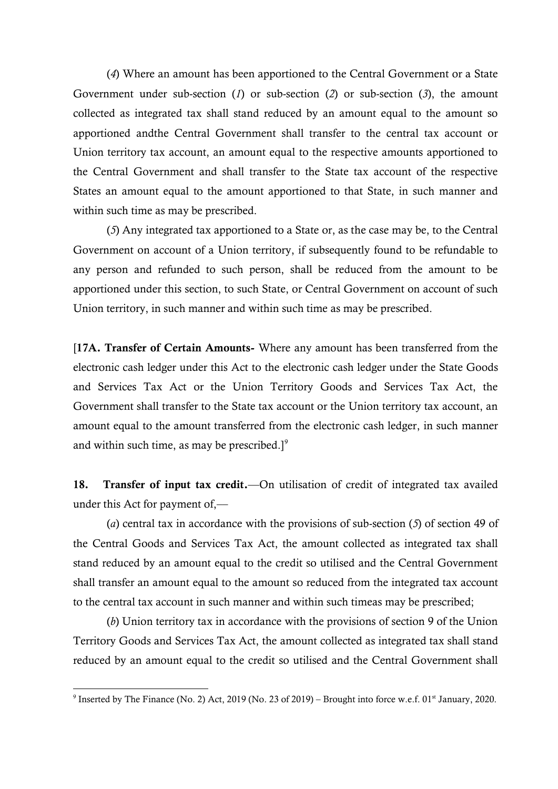(*4*) Where an amount has been apportioned to the Central Government or a State Government under sub-section (*1*) or sub-section (*2*) or sub-section (*3*), the amount collected as integrated tax shall stand reduced by an amount equal to the amount so apportioned andthe Central Government shall transfer to the central tax account or Union territory tax account, an amount equal to the respective amounts apportioned to the Central Government and shall transfer to the State tax account of the respective States an amount equal to the amount apportioned to that State, in such manner and within such time as may be prescribed.

(*5*) Any integrated tax apportioned to a State or, as the case may be, to the Central Government on account of a Union territory, if subsequently found to be refundable to any person and refunded to such person, shall be reduced from the amount to be apportioned under this section, to such State, or Central Government on account of such Union territory, in such manner and within such time as may be prescribed.

[**17A. Transfer of Certain Amounts-** Where any amount has been transferred from the electronic cash ledger under this Act to the electronic cash ledger under the State Goods and Services Tax Act or the Union Territory Goods and Services Tax Act, the Government shall transfer to the State tax account or the Union territory tax account, an amount equal to the amount transferred from the electronic cash ledger, in such manner and within such time, as may be prescribed.] $\degree$ 

18. Transfer of input tax credit.—On utilisation of credit of integrated tax availed under this Act for payment of,—

(*a*) central tax in accordance with the provisions of sub-section (*5*) of section 49 of the Central Goods and Services Tax Act, the amount collected as integrated tax shall stand reduced by an amount equal to the credit so utilised and the Central Government shall transfer an amount equal to the amount so reduced from the integrated tax account to the central tax account in such manner and within such timeas may be prescribed;

(*b*) Union territory tax in accordance with the provisions of section 9 of the Union Territory Goods and Services Tax Act, the amount collected as integrated tax shall stand reduced by an amount equal to the credit so utilised and the Central Government shall

**.** 

<sup>&</sup>lt;sup>9</sup> Inserted by The Finance (No. 2) Act, 2019 (No. 23 of 2019) – Brought into force w.e.f. 01<sup>st</sup> January, 2020.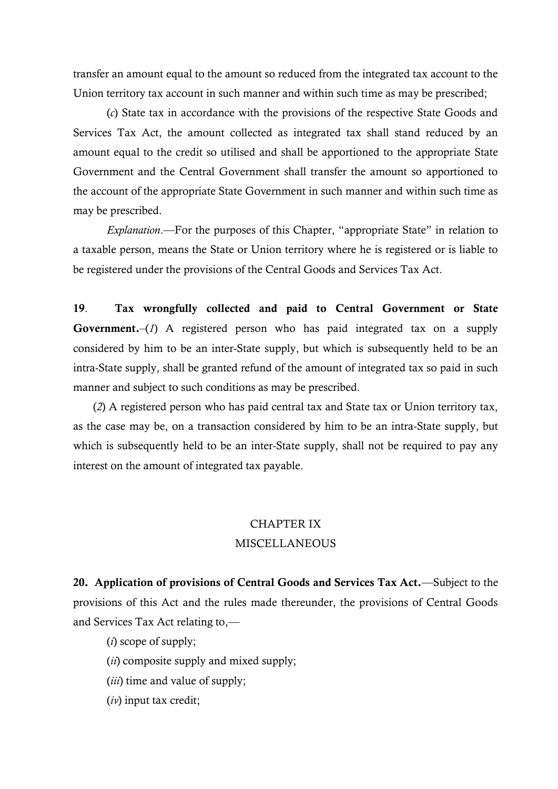transfer an amount equal to the amount so reduced from the integrated tax account to the Union territory tax account in such manner and within such time as may be prescribed;

(*c*) State tax in accordance with the provisions of the respective State Goods and Services Tax Act, the amount collected as integrated tax shall stand reduced by an amount equal to the credit so utilised and shall be apportioned to the appropriate State Government and the Central Government shall transfer the amount so apportioned to the account of the appropriate State Government in such manner and within such time as may be prescribed.

*Explanation*.—For the purposes of this Chapter, "appropriate State" in relation to a taxable person, means the State or Union territory where he is registered or is liable to be registered under the provisions of the Central Goods and Services Tax Act.

**19**. **Tax wrongfully collected and paid to Central Government or State Government.**–(*1*) A registered person who has paid integrated tax on a supply considered by him to be an inter-State supply, but which is subsequently held to be an intra-State supply, shall be granted refund of the amount of integrated tax so paid in such manner and subject to such conditions as may be prescribed.

(*2*) A registered person who has paid central tax and State tax or Union territory tax, as the case may be, on a transaction considered by him to be an intra-State supply, but which is subsequently held to be an inter-State supply, shall not be required to pay any interest on the amount of integrated tax payable.

# CHAPTER IX MISCELLANEOUS

**20. Application of provisions of Central Goods and Services Tax Act.**––Subject to the provisions of this Act and the rules made thereunder, the provisions of Central Goods and Services Tax Act relating to,––

(*i*) scope of supply;

(*ii*) composite supply and mixed supply;

(*iii*) time and value of supply;

(*iv*) input tax credit;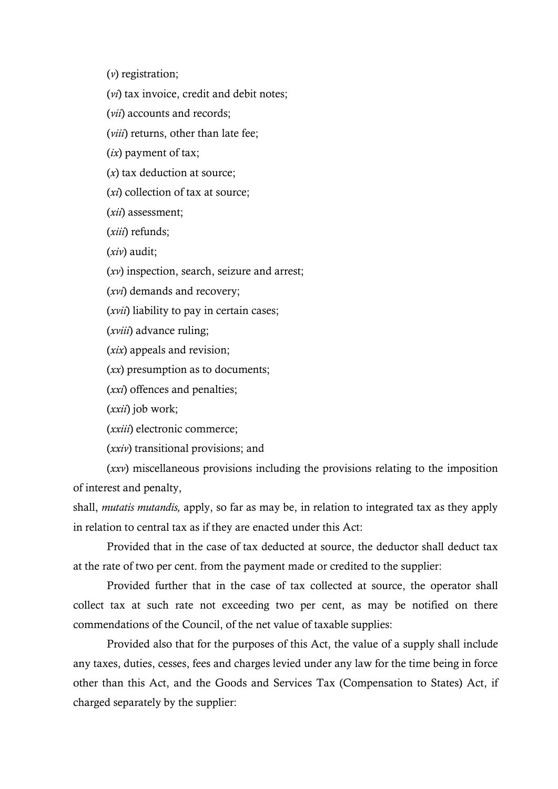(*v*) registration;

(*vi*) tax invoice, credit and debit notes;

(*vii*) accounts and records;

(*viii*) returns, other than late fee;

(*ix*) payment of tax;

(*x*) tax deduction at source;

(*xi*) collection of tax at source;

(*xii*) assessment;

(*xiii*) refunds;

(*xiv*) audit;

(*xv*) inspection, search, seizure and arrest;

(*xvi*) demands and recovery;

(*xvii*) liability to pay in certain cases;

(*xviii*) advance ruling;

(*xix*) appeals and revision;

(*xx*) presumption as to documents;

(*xxi*) offences and penalties;

(*xxii*) job work;

(*xxiii*) electronic commerce;

(*xxiv*) transitional provisions; and

(*xxv*) miscellaneous provisions including the provisions relating to the imposition of interest and penalty,

shall, *mutatis mutandis,* apply, so far as may be, in relation to integrated tax as they apply in relation to central tax as if they are enacted under this Act:

Provided that in the case of tax deducted at source, the deductor shall deduct tax at the rate of two per cent. from the payment made or credited to the supplier:

Provided further that in the case of tax collected at source, the operator shall collect tax at such rate not exceeding two per cent, as may be notified on there commendations of the Council, of the net value of taxable supplies:

Provided also that for the purposes of this Act, the value of a supply shall include any taxes, duties, cesses, fees and charges levied under any law for the time being in force other than this Act, and the Goods and Services Tax (Compensation to States) Act, if charged separately by the supplier: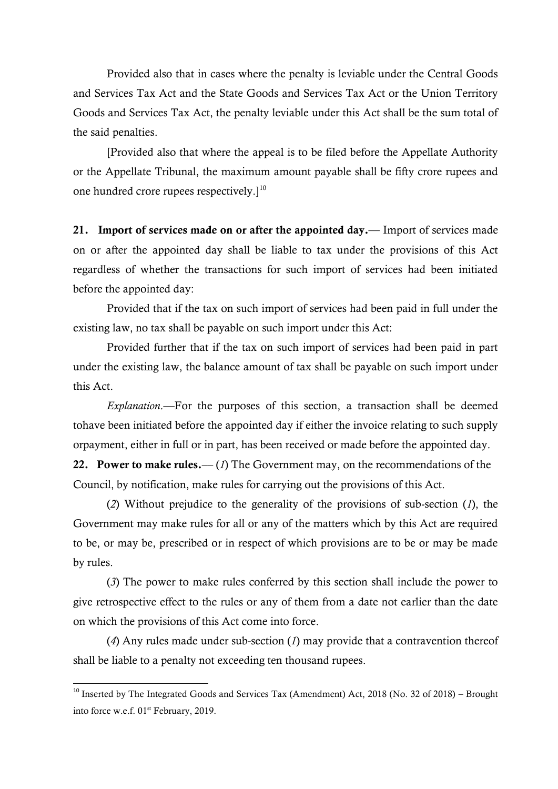Provided also that in cases where the penalty is leviable under the Central Goods and Services Tax Act and the State Goods and Services Tax Act or the Union Territory Goods and Services Tax Act, the penalty leviable under this Act shall be the sum total of the said penalties.

[Provided also that where the appeal is to be filed before the Appellate Authority or the Appellate Tribunal, the maximum amount payable shall be fifty crore rupees and one hundred crore rupees respectively.]<sup>10</sup>

**21. Import of services made on or after the appointed day.**–– Import of services made on or after the appointed day shall be liable to tax under the provisions of this Act regardless of whether the transactions for such import of services had been initiated before the appointed day:

Provided that if the tax on such import of services had been paid in full under the existing law, no tax shall be payable on such import under this Act:

Provided further that if the tax on such import of services had been paid in part under the existing law, the balance amount of tax shall be payable on such import under this Act.

*Explanation*.—For the purposes of this section, a transaction shall be deemed tohave been initiated before the appointed day if either the invoice relating to such supply orpayment, either in full or in part, has been received or made before the appointed day.

**22. Power to make rules.—** (*1*) The Government may, on the recommendations of the Council, by notification, make rules for carrying out the provisions of this Act.

(*2*) Without prejudice to the generality of the provisions of sub-section (*1*), the Government may make rules for all or any of the matters which by this Act are required to be, or may be, prescribed or in respect of which provisions are to be or may be made by rules.

(*3*) The power to make rules conferred by this section shall include the power to give retrospective effect to the rules or any of them from a date not earlier than the date on which the provisions of this Act come into force.

(*4*) Any rules made under sub-section (*1*) may provide that a contravention thereof shall be liable to a penalty not exceeding ten thousand rupees.

1

<sup>&</sup>lt;sup>10</sup> Inserted by The Integrated Goods and Services Tax (Amendment) Act, 2018 (No. 32 of 2018) – Brought into force w.e.f. 01<sup>st</sup> February, 2019.